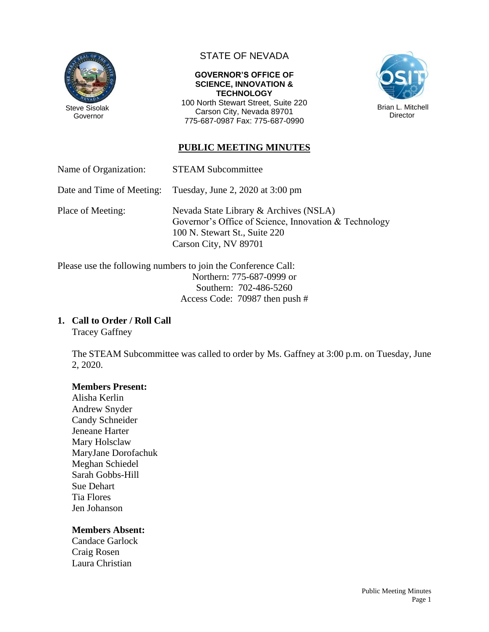

## STATE OF NEVADA

#### **GOVERNOR'S OFFICE OF SCIENCE, INNOVATION & TECHNOLOGY**

100 North Stewart Street, Suite 220 Carson City, Nevada 89701 775-687-0987 Fax: 775-687-0990



## **PUBLIC MEETING MINUTES**

Name of Organization: STEAM Subcommittee

Date and Time of Meeting: Tuesday, June 2, 2020 at 3:00 pm

Place of Meeting: Nevada State Library & Archives (NSLA) Governor's Office of Science, Innovation & Technology 100 N. Stewart St., Suite 220 Carson City, NV 89701

Please use the following numbers to join the Conference Call: Northern: 775-687-0999 or Southern: 702-486-5260 Access Code: 70987 then push #

### **1. Call to Order / Roll Call**

Tracey Gaffney

The STEAM Subcommittee was called to order by Ms. Gaffney at 3:00 p.m. on Tuesday, June 2, 2020.

### **Members Present:**

Alisha Kerlin Andrew Snyder Candy Schneider Jeneane Harter Mary Holsclaw MaryJane Dorofachuk Meghan Schiedel Sarah Gobbs-Hill Sue Dehart Tia Flores Jen Johanson

### **Members Absent:**

Candace Garlock Craig Rosen Laura Christian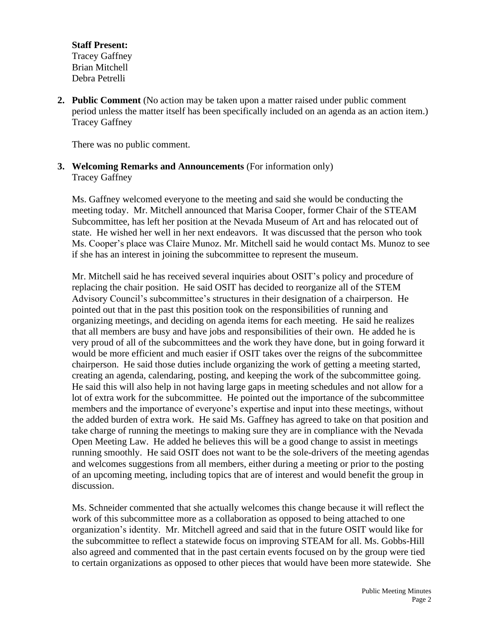**Staff Present:** Tracey Gaffney Brian Mitchell Debra Petrelli

**2. Public Comment** (No action may be taken upon a matter raised under public comment period unless the matter itself has been specifically included on an agenda as an action item.) Tracey Gaffney

There was no public comment.

### **3. Welcoming Remarks and Announcements** (For information only) Tracey Gaffney

Ms. Gaffney welcomed everyone to the meeting and said she would be conducting the meeting today. Mr. Mitchell announced that Marisa Cooper, former Chair of the STEAM Subcommittee, has left her position at the Nevada Museum of Art and has relocated out of state. He wished her well in her next endeavors. It was discussed that the person who took Ms. Cooper's place was Claire Munoz. Mr. Mitchell said he would contact Ms. Munoz to see if she has an interest in joining the subcommittee to represent the museum.

Mr. Mitchell said he has received several inquiries about OSIT's policy and procedure of replacing the chair position. He said OSIT has decided to reorganize all of the STEM Advisory Council's subcommittee's structures in their designation of a chairperson. He pointed out that in the past this position took on the responsibilities of running and organizing meetings, and deciding on agenda items for each meeting. He said he realizes that all members are busy and have jobs and responsibilities of their own. He added he is very proud of all of the subcommittees and the work they have done, but in going forward it would be more efficient and much easier if OSIT takes over the reigns of the subcommittee chairperson. He said those duties include organizing the work of getting a meeting started, creating an agenda, calendaring, posting, and keeping the work of the subcommittee going. He said this will also help in not having large gaps in meeting schedules and not allow for a lot of extra work for the subcommittee. He pointed out the importance of the subcommittee members and the importance of everyone's expertise and input into these meetings, without the added burden of extra work. He said Ms. Gaffney has agreed to take on that position and take charge of running the meetings to making sure they are in compliance with the Nevada Open Meeting Law. He added he believes this will be a good change to assist in meetings running smoothly. He said OSIT does not want to be the sole-drivers of the meeting agendas and welcomes suggestions from all members, either during a meeting or prior to the posting of an upcoming meeting, including topics that are of interest and would benefit the group in discussion.

Ms. Schneider commented that she actually welcomes this change because it will reflect the work of this subcommittee more as a collaboration as opposed to being attached to one organization's identity. Mr. Mitchell agreed and said that in the future OSIT would like for the subcommittee to reflect a statewide focus on improving STEAM for all. Ms. Gobbs-Hill also agreed and commented that in the past certain events focused on by the group were tied to certain organizations as opposed to other pieces that would have been more statewide. She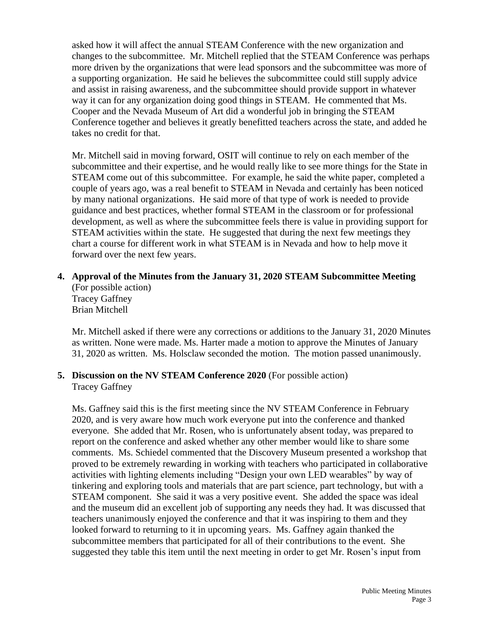asked how it will affect the annual STEAM Conference with the new organization and changes to the subcommittee. Mr. Mitchell replied that the STEAM Conference was perhaps more driven by the organizations that were lead sponsors and the subcommittee was more of a supporting organization. He said he believes the subcommittee could still supply advice and assist in raising awareness, and the subcommittee should provide support in whatever way it can for any organization doing good things in STEAM. He commented that Ms. Cooper and the Nevada Museum of Art did a wonderful job in bringing the STEAM Conference together and believes it greatly benefitted teachers across the state, and added he takes no credit for that.

Mr. Mitchell said in moving forward, OSIT will continue to rely on each member of the subcommittee and their expertise, and he would really like to see more things for the State in STEAM come out of this subcommittee. For example, he said the white paper, completed a couple of years ago, was a real benefit to STEAM in Nevada and certainly has been noticed by many national organizations. He said more of that type of work is needed to provide guidance and best practices, whether formal STEAM in the classroom or for professional development, as well as where the subcommittee feels there is value in providing support for STEAM activities within the state. He suggested that during the next few meetings they chart a course for different work in what STEAM is in Nevada and how to help move it forward over the next few years.

# **4. Approval of the Minutes from the January 31, 2020 STEAM Subcommittee Meeting**

(For possible action) Tracey Gaffney Brian Mitchell

Mr. Mitchell asked if there were any corrections or additions to the January 31, 2020 Minutes as written. None were made. Ms. Harter made a motion to approve the Minutes of January 31, 2020 as written. Ms. Holsclaw seconded the motion. The motion passed unanimously.

### **5. Discussion on the NV STEAM Conference 2020** (For possible action) Tracey Gaffney

Ms. Gaffney said this is the first meeting since the NV STEAM Conference in February 2020, and is very aware how much work everyone put into the conference and thanked everyone. She added that Mr. Rosen, who is unfortunately absent today, was prepared to report on the conference and asked whether any other member would like to share some comments. Ms. Schiedel commented that the Discovery Museum presented a workshop that proved to be extremely rewarding in working with teachers who participated in collaborative activities with lighting elements including "Design your own LED wearables" by way of tinkering and exploring tools and materials that are part science, part technology, but with a STEAM component. She said it was a very positive event. She added the space was ideal and the museum did an excellent job of supporting any needs they had. It was discussed that teachers unanimously enjoyed the conference and that it was inspiring to them and they looked forward to returning to it in upcoming years. Ms. Gaffney again thanked the subcommittee members that participated for all of their contributions to the event. She suggested they table this item until the next meeting in order to get Mr. Rosen's input from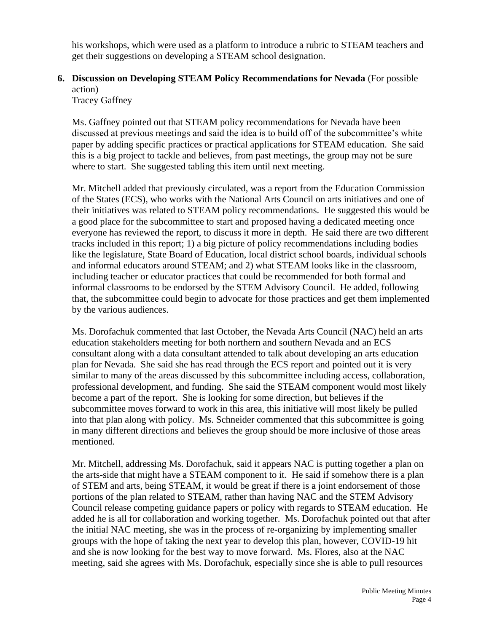his workshops, which were used as a platform to introduce a rubric to STEAM teachers and get their suggestions on developing a STEAM school designation.

## **6. Discussion on Developing STEAM Policy Recommendations for Nevada** (For possible action)

Tracey Gaffney

Ms. Gaffney pointed out that STEAM policy recommendations for Nevada have been discussed at previous meetings and said the idea is to build off of the subcommittee's white paper by adding specific practices or practical applications for STEAM education. She said this is a big project to tackle and believes, from past meetings, the group may not be sure where to start. She suggested tabling this item until next meeting.

Mr. Mitchell added that previously circulated, was a report from the Education Commission of the States (ECS), who works with the National Arts Council on arts initiatives and one of their initiatives was related to STEAM policy recommendations. He suggested this would be a good place for the subcommittee to start and proposed having a dedicated meeting once everyone has reviewed the report, to discuss it more in depth. He said there are two different tracks included in this report; 1) a big picture of policy recommendations including bodies like the legislature, State Board of Education, local district school boards, individual schools and informal educators around STEAM; and 2) what STEAM looks like in the classroom, including teacher or educator practices that could be recommended for both formal and informal classrooms to be endorsed by the STEM Advisory Council. He added, following that, the subcommittee could begin to advocate for those practices and get them implemented by the various audiences.

Ms. Dorofachuk commented that last October, the Nevada Arts Council (NAC) held an arts education stakeholders meeting for both northern and southern Nevada and an ECS consultant along with a data consultant attended to talk about developing an arts education plan for Nevada. She said she has read through the ECS report and pointed out it is very similar to many of the areas discussed by this subcommittee including access, collaboration, professional development, and funding. She said the STEAM component would most likely become a part of the report. She is looking for some direction, but believes if the subcommittee moves forward to work in this area, this initiative will most likely be pulled into that plan along with policy. Ms. Schneider commented that this subcommittee is going in many different directions and believes the group should be more inclusive of those areas mentioned.

Mr. Mitchell, addressing Ms. Dorofachuk, said it appears NAC is putting together a plan on the arts-side that might have a STEAM component to it. He said if somehow there is a plan of STEM and arts, being STEAM, it would be great if there is a joint endorsement of those portions of the plan related to STEAM, rather than having NAC and the STEM Advisory Council release competing guidance papers or policy with regards to STEAM education. He added he is all for collaboration and working together. Ms. Dorofachuk pointed out that after the initial NAC meeting, she was in the process of re-organizing by implementing smaller groups with the hope of taking the next year to develop this plan, however, COVID-19 hit and she is now looking for the best way to move forward. Ms. Flores, also at the NAC meeting, said she agrees with Ms. Dorofachuk, especially since she is able to pull resources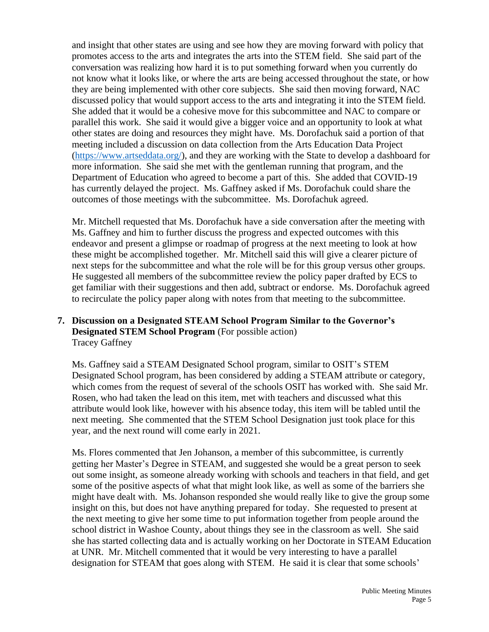and insight that other states are using and see how they are moving forward with policy that promotes access to the arts and integrates the arts into the STEM field. She said part of the conversation was realizing how hard it is to put something forward when you currently do not know what it looks like, or where the arts are being accessed throughout the state, or how they are being implemented with other core subjects. She said then moving forward, NAC discussed policy that would support access to the arts and integrating it into the STEM field. She added that it would be a cohesive move for this subcommittee and NAC to compare or parallel this work. She said it would give a bigger voice and an opportunity to look at what other states are doing and resources they might have. Ms. Dorofachuk said a portion of that meeting included a discussion on data collection from the Arts Education Data Project [\(https://www.artseddata.org/\)](https://www.artseddata.org/), and they are working with the State to develop a dashboard for more information. She said she met with the gentleman running that program, and the Department of Education who agreed to become a part of this. She added that COVID-19 has currently delayed the project. Ms. Gaffney asked if Ms. Dorofachuk could share the outcomes of those meetings with the subcommittee. Ms. Dorofachuk agreed.

Mr. Mitchell requested that Ms. Dorofachuk have a side conversation after the meeting with Ms. Gaffney and him to further discuss the progress and expected outcomes with this endeavor and present a glimpse or roadmap of progress at the next meeting to look at how these might be accomplished together. Mr. Mitchell said this will give a clearer picture of next steps for the subcommittee and what the role will be for this group versus other groups. He suggested all members of the subcommittee review the policy paper drafted by ECS to get familiar with their suggestions and then add, subtract or endorse. Ms. Dorofachuk agreed to recirculate the policy paper along with notes from that meeting to the subcommittee.

### **7. Discussion on a Designated STEAM School Program Similar to the Governor's Designated STEM School Program** (For possible action) Tracey Gaffney

Ms. Gaffney said a STEAM Designated School program, similar to OSIT's STEM Designated School program, has been considered by adding a STEAM attribute or category, which comes from the request of several of the schools OSIT has worked with. She said Mr. Rosen, who had taken the lead on this item, met with teachers and discussed what this attribute would look like, however with his absence today, this item will be tabled until the next meeting. She commented that the STEM School Designation just took place for this year, and the next round will come early in 2021.

Ms. Flores commented that Jen Johanson, a member of this subcommittee, is currently getting her Master's Degree in STEAM, and suggested she would be a great person to seek out some insight, as someone already working with schools and teachers in that field, and get some of the positive aspects of what that might look like, as well as some of the barriers she might have dealt with. Ms. Johanson responded she would really like to give the group some insight on this, but does not have anything prepared for today. She requested to present at the next meeting to give her some time to put information together from people around the school district in Washoe County, about things they see in the classroom as well. She said she has started collecting data and is actually working on her Doctorate in STEAM Education at UNR. Mr. Mitchell commented that it would be very interesting to have a parallel designation for STEAM that goes along with STEM. He said it is clear that some schools'